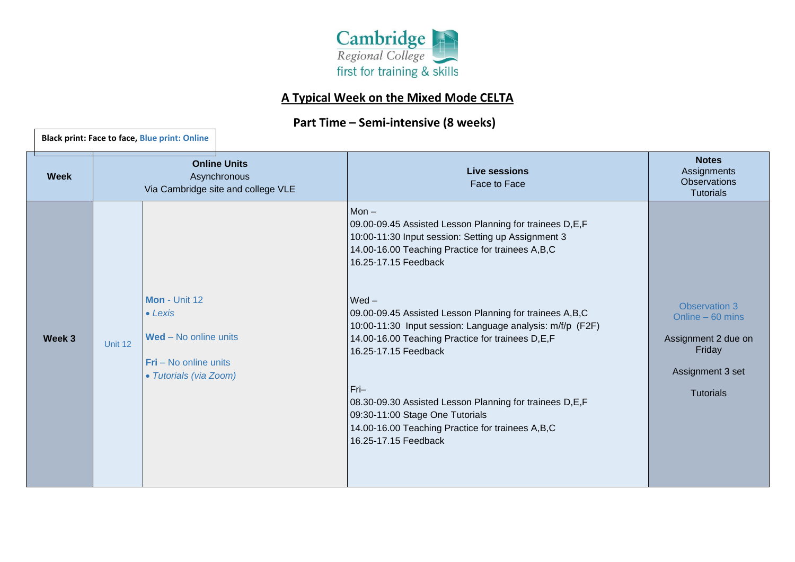

## **A Typical Week on the Mixed Mode CELTA**

## **Part Time – Semi-intensive (8 weeks)**

**Black print: Face to face, Blue print: Online**

| <b>Week</b> | <b>Online Units</b><br>Asynchronous<br>Via Cambridge site and college VLE |                                                                                                                       | <b>Live sessions</b><br>Face to Face                                                                                                                                                                                                                                                                                                                                                                                                                                                                                                                                                                    | <b>Notes</b><br>Assignments<br><b>Observations</b><br><b>Tutorials</b>                                             |
|-------------|---------------------------------------------------------------------------|-----------------------------------------------------------------------------------------------------------------------|---------------------------------------------------------------------------------------------------------------------------------------------------------------------------------------------------------------------------------------------------------------------------------------------------------------------------------------------------------------------------------------------------------------------------------------------------------------------------------------------------------------------------------------------------------------------------------------------------------|--------------------------------------------------------------------------------------------------------------------|
| Week 3      | Unit 12                                                                   | Mon - Unit 12<br>$\bullet$ Lexis<br><b>Wed</b> – No online units<br>$Fri - No$ online units<br>• Tutorials (via Zoom) | $Mon -$<br>09.00-09.45 Assisted Lesson Planning for trainees D,E,F<br>10:00-11:30 Input session: Setting up Assignment 3<br>14.00-16.00 Teaching Practice for trainees A,B,C<br>16.25-17.15 Feedback<br>$Wed -$<br>09.00-09.45 Assisted Lesson Planning for trainees A,B,C<br>10:00-11:30 Input session: Language analysis: m/f/p (F2F)<br>14.00-16.00 Teaching Practice for trainees D,E,F<br>16.25-17.15 Feedback<br>$Fri-$<br>08.30-09.30 Assisted Lesson Planning for trainees D,E,F<br>09:30-11:00 Stage One Tutorials<br>14.00-16.00 Teaching Practice for trainees A,B,C<br>16.25-17.15 Feedback | <b>Observation 3</b><br>Online $-60$ mins<br>Assignment 2 due on<br>Friday<br>Assignment 3 set<br><b>Tutorials</b> |